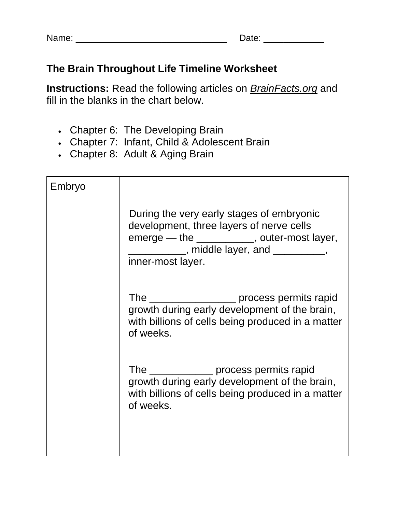| Name: |  |
|-------|--|
|-------|--|

Name: \_\_\_\_\_\_\_\_\_\_\_\_\_\_\_\_\_\_\_\_\_\_\_\_\_\_\_\_\_\_ Date: \_\_\_\_\_\_\_\_\_\_\_\_

## **The Brain Throughout Life Timeline Worksheet**

**Instructions:** Read the following articles on *BrainFacts.org* and fill in the blanks in the chart below.

- Chapter 6: The Developing Brain
- Chapter 7: Infant, Child & Adolescent Brain
- Chapter 8: Adult & Aging Brain

| Embryo |                                                                                                                                                                                                          |
|--------|----------------------------------------------------------------------------------------------------------------------------------------------------------------------------------------------------------|
|        | During the very early stages of embryonic<br>development, three layers of nerve cells<br>emerge - the __________, outer-most layer,<br>_____________, middle layer, and __________,<br>inner-most layer. |
|        | The ______________________ process permits rapid<br>growth during early development of the brain,<br>with billions of cells being produced in a matter<br>of weeks.                                      |
|        | The _______________ process permits rapid<br>growth during early development of the brain,<br>with billions of cells being produced in a matter<br>of weeks.                                             |
|        |                                                                                                                                                                                                          |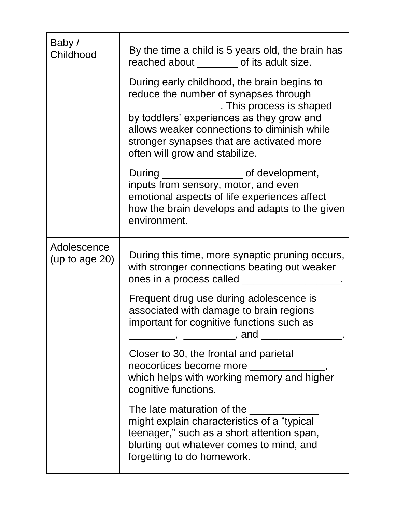| Baby/<br>Childhood               | By the time a child is 5 years old, the brain has<br>reached about ________ of its adult size.<br>During early childhood, the brain begins to<br>reduce the number of synapses through<br>This process is shaped<br>by toddlers' experiences as they grow and<br>allows weaker connections to diminish while<br>stronger synapses that are activated more<br>often will grow and stabilize. |
|----------------------------------|---------------------------------------------------------------------------------------------------------------------------------------------------------------------------------------------------------------------------------------------------------------------------------------------------------------------------------------------------------------------------------------------|
|                                  | During ________________________ of development,<br>inputs from sensory, motor, and even<br>emotional aspects of life experiences affect<br>how the brain develops and adapts to the given<br>environment.                                                                                                                                                                                   |
| Adolescence<br>(up to age $20$ ) | During this time, more synaptic pruning occurs,<br>with stronger connections beating out weaker<br>ones in a process called                                                                                                                                                                                                                                                                 |
|                                  | Frequent drug use during adolescence is<br>associated with damage to brain regions<br>important for cognitive functions such as<br>______,  ___________, and _____                                                                                                                                                                                                                          |
|                                  | Closer to 30, the frontal and parietal<br>neocortices become more<br>which helps with working memory and higher<br>cognitive functions.                                                                                                                                                                                                                                                     |
|                                  | The late maturation of the<br>might explain characteristics of a "typical"<br>teenager," such as a short attention span,<br>blurting out whatever comes to mind, and<br>forgetting to do homework.                                                                                                                                                                                          |